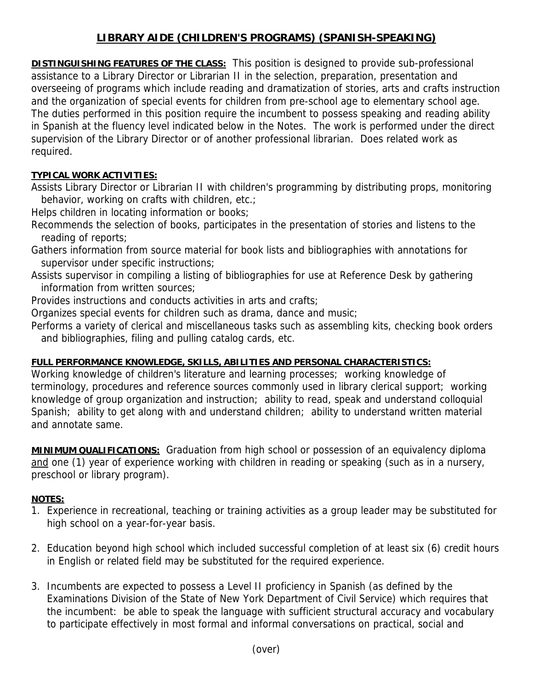## **LIBRARY AIDE (CHILDREN'S PROGRAMS) (SPANISH-SPEAKING)**

**DISTINGUISHING FEATURES OF THE CLASS:** This position is designed to provide sub-professional assistance to a Library Director or Librarian II in the selection, preparation, presentation and overseeing of programs which include reading and dramatization of stories, arts and crafts instruction and the organization of special events for children from pre-school age to elementary school age. The duties performed in this position require the incumbent to possess speaking and reading ability in Spanish at the fluency level indicated below in the Notes. The work is performed under the direct supervision of the Library Director or of another professional librarian. Does related work as required.

## **TYPICAL WORK ACTIVITIES:**

Assists Library Director or Librarian II with children's programming by distributing props, monitoring behavior, working on crafts with children, etc.;

Helps children in locating information or books;

Recommends the selection of books, participates in the presentation of stories and listens to the reading of reports;

Gathers information from source material for book lists and bibliographies with annotations for supervisor under specific instructions;

Assists supervisor in compiling a listing of bibliographies for use at Reference Desk by gathering information from written sources;

Provides instructions and conducts activities in arts and crafts;

Organizes special events for children such as drama, dance and music;

Performs a variety of clerical and miscellaneous tasks such as assembling kits, checking book orders and bibliographies, filing and pulling catalog cards, etc.

## **FULL PERFORMANCE KNOWLEDGE, SKILLS, ABILITIES AND PERSONAL CHARACTERISTICS:**

Working knowledge of children's literature and learning processes; working knowledge of terminology, procedures and reference sources commonly used in library clerical support; working knowledge of group organization and instruction; ability to read, speak and understand colloquial Spanish; ability to get along with and understand children; ability to understand written material and annotate same.

**MINIMUM QUALIFICATIONS:** Graduation from high school or possession of an equivalency diploma and one (1) year of experience working with children in reading or speaking (such as in a nursery, preschool or library program).

## **NOTES:**

- 1. Experience in recreational, teaching or training activities as a group leader may be substituted for high school on a year-for-year basis.
- 2. Education beyond high school which included successful completion of at least six (6) credit hours in English or related field may be substituted for the required experience.
- 3. Incumbents are expected to possess a Level II proficiency in Spanish (as defined by the Examinations Division of the State of New York Department of Civil Service) which requires that the incumbent: be able to speak the language with sufficient structural accuracy and vocabulary to participate effectively in most formal and informal conversations on practical, social and